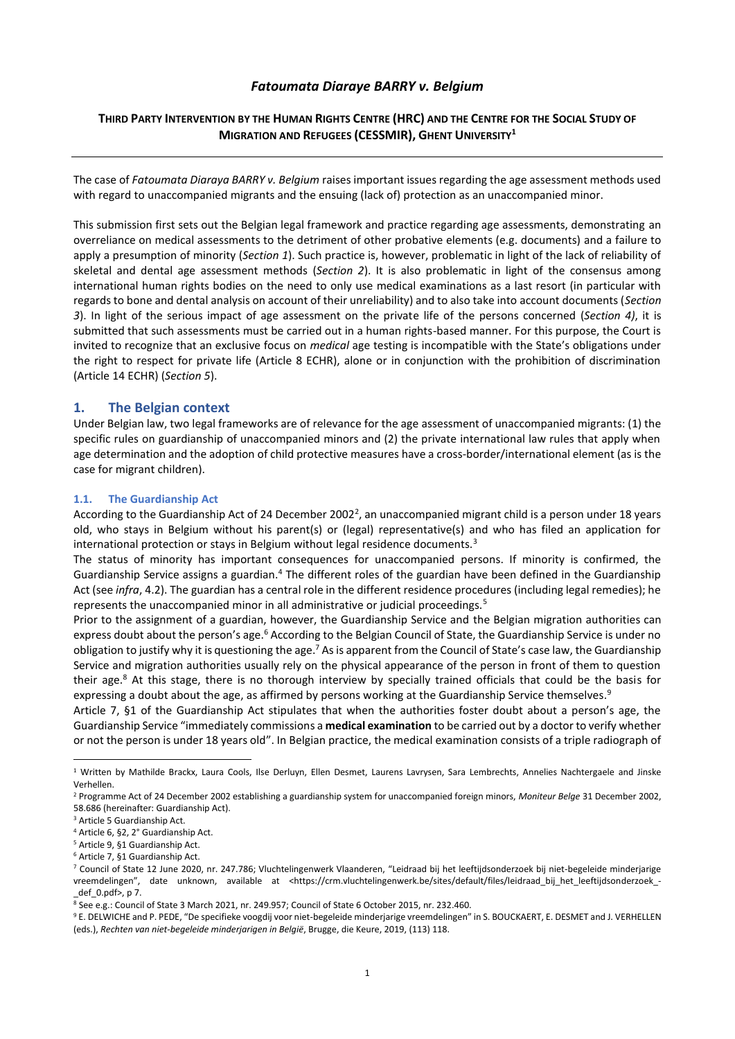# *Fatoumata Diaraye BARRY v. Belgium*

# THIRD PARTY INTERVENTION BY THE HUMAN RIGHTS CENTRE (HRC) AND THE CENTRE FOR THE SOCIAL STUDY OF **MIGRATION AND REFUGEES (CESSMIR), GHENT UNIVERSITY<sup>1</sup>**

The case of *Fatoumata Diaraya BARRY v. Belgium* raises important issues regarding the age assessment methods used with regard to unaccompanied migrants and the ensuing (lack of) protection as an unaccompanied minor.

This submission first sets out the Belgian legal framework and practice regarding age assessments, demonstrating an overreliance on medical assessments to the detriment of other probative elements (e.g. documents) and a failure to apply a presumption of minority (*Section 1*). Such practice is, however, problematic in light of the lack of reliability of skeletal and dental age assessment methods (*Section 2*). It is also problematic in light of the consensus among international human rights bodies on the need to only use medical examinations as a last resort (in particular with regards to bone and dental analysis on account of their unreliability) and to also take into account documents (*Section 3*). In light of the serious impact of age assessment on the private life of the persons concerned (*Section 4)*, it is submitted that such assessments must be carried out in a human rights-based manner. For this purpose, the Court is invited to recognize that an exclusive focus on *medical* age testing is incompatible with the State's obligations under the right to respect for private life (Article 8 ECHR), alone or in conjunction with the prohibition of discrimination (Article 14 ECHR) (*Section 5*).

## **1. The Belgian context**

Under Belgian law, two legal frameworks are of relevance for the age assessment of unaccompanied migrants: (1) the specific rules on guardianship of unaccompanied minors and (2) the private international law rules that apply when age determination and the adoption of child protective measures have a cross-border/international element (as is the case for migrant children).

## **1.1. The Guardianship Act**

According to the Guardianship Act of 24 December 2002<sup>2</sup>, an unaccompanied migrant child is a person under 18 years old, who stays in Belgium without his parent(s) or (legal) representative(s) and who has filed an application for international protection or stays in Belgium without legal residence documents.<sup>3</sup>

The status of minority has important consequences for unaccompanied persons. If minority is confirmed, the Guardianship Service assigns a guardian.<sup>4</sup> The different roles of the guardian have been defined in the Guardianship Act (see *infra*, 4.2). The guardian has a central role in the different residence procedures (including legal remedies); he represents the unaccompanied minor in all administrative or judicial proceedings.<sup>5</sup>

Prior to the assignment of a guardian, however, the Guardianship Service and the Belgian migration authorities can express doubt about the person's age.<sup>6</sup> According to the Belgian Council of State, the Guardianship Service is under no obligation to justify why it is questioning the age.<sup>7</sup> As is apparent from the Council of State's case law, the Guardianship Service and migration authorities usually rely on the physical appearance of the person in front of them to question their age.<sup>8</sup> At this stage, there is no thorough interview by specially trained officials that could be the basis for expressing a doubt about the age, as affirmed by persons working at the Guardianship Service themselves.<sup>9</sup>

Article 7, §1 of the Guardianship Act stipulates that when the authorities foster doubt about a person's age, the Guardianship Service "immediately commissions a **medical examination** to be carried out by a doctor to verify whether or not the person is under 18 years old". In Belgian practice, the medical examination consists of a triple radiograph of

<sup>&</sup>lt;sup>1</sup> Written by Mathilde Brackx, Laura Cools, Ilse Derluyn, Ellen Desmet, Laurens Lavrysen, Sara Lembrechts, Annelies Nachtergaele and Jinske Verhellen.

<sup>2</sup> Programme Act of 24 December 2002 establishing a guardianship system for unaccompanied foreign minors, *Moniteur Belge* 31 December 2002, 58.686 (hereinafter: Guardianship Act).

<sup>3</sup> Article 5 Guardianship Act.

<sup>4</sup> Article 6, §2, 2° Guardianship Act.

<sup>5</sup> Article 9, §1 Guardianship Act.

<sup>6</sup> Article 7, §1 Guardianship Act.

<sup>7</sup> Council of State 12 June 2020, nr. 247.786; Vluchtelingenwerk Vlaanderen, "Leidraad bij het leeftijdsonderzoek bij niet-begeleide minderjarige vreemdelingen", date unknown, available at <https://crm.vluchtelingenwerk.be/sites/default/files/leidraad\_bij\_het\_leeftijdsonderzoek\_- \_def\_0.pdf>, p 7.

<sup>8</sup> See e.g.: Council of State 3 March 2021, nr. 249.957; Council of State 6 October 2015, nr. 232.460.

<sup>9</sup> E. DELWICHE and P. PEDE, "De specifieke voogdij voor niet-begeleide minderjarige vreemdelingen" in S. BOUCKAERT, E. DESMET and J. VERHELLEN (eds.), *Rechten van niet-begeleide minderjarigen in België*, Brugge, die Keure, 2019, (113) 118.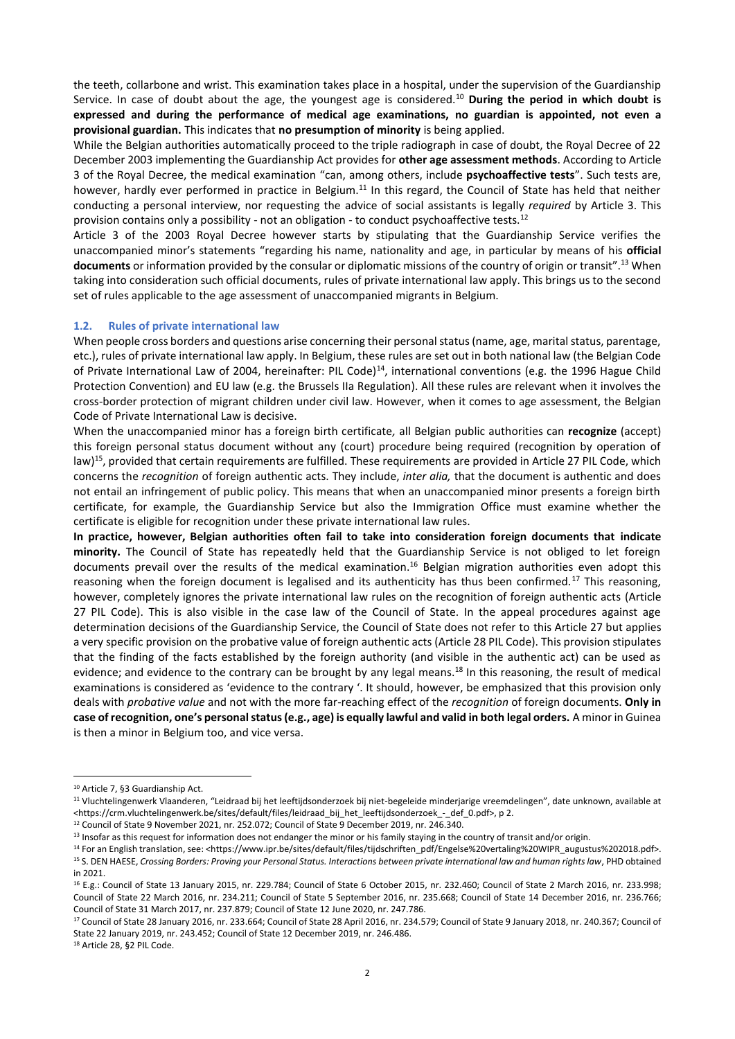the teeth, collarbone and wrist. This examination takes place in a hospital, under the supervision of the Guardianship Service. In case of doubt about the age, the youngest age is considered.<sup>10</sup> **During the period in which doubt is expressed and during the performance of medical age examinations, no guardian is appointed, not even a provisional guardian.** This indicates that **no presumption of minority** is being applied.

While the Belgian authorities automatically proceed to the triple radiograph in case of doubt, the Royal Decree of 22 December 2003 implementing the Guardianship Act provides for **other age assessment methods**. According to Article 3 of the Royal Decree, the medical examination "can, among others, include **psychoaffective tests**". Such tests are, however, hardly ever performed in practice in Belgium.<sup>11</sup> In this regard, the Council of State has held that neither conducting a personal interview, nor requesting the advice of social assistants is legally *required* by Article 3. This provision contains only a possibility - not an obligation - to conduct psychoaffective tests.<sup>12</sup>

Article 3 of the 2003 Royal Decree however starts by stipulating that the Guardianship Service verifies the unaccompanied minor's statements "regarding his name, nationality and age, in particular by means of his **official documents** or information provided by the consular or diplomatic missions of the country of origin or transit".<sup>13</sup> When taking into consideration such official documents, rules of private international law apply. This brings us to the second set of rules applicable to the age assessment of unaccompanied migrants in Belgium.

## **1.2. Rules of private international law**

When people cross borders and questions arise concerning their personal status (name, age, marital status, parentage, etc.), rules of private international law apply. In Belgium, these rules are set out in both national law (the Belgian Code of Private International Law of 2004, hereinafter: PIL Code)<sup>14</sup>, international conventions (e.g. the 1996 Hague Child Protection Convention) and EU law (e.g. the Brussels IIa Regulation). All these rules are relevant when it involves the cross-border protection of migrant children under civil law. However, when it comes to age assessment, the Belgian Code of Private International Law is decisive.

When the unaccompanied minor has a foreign birth certificate*,* all Belgian public authorities can **recognize** (accept) this foreign personal status document without any (court) procedure being required (recognition by operation of law)<sup>15</sup>, provided that certain requirements are fulfilled. These requirements are provided in Article 27 PIL Code, which concerns the *recognition* of foreign authentic acts. They include, *inter alia,* that the document is authentic and does not entail an infringement of public policy. This means that when an unaccompanied minor presents a foreign birth certificate, for example, the Guardianship Service but also the Immigration Office must examine whether the certificate is eligible for recognition under these private international law rules.

**In practice, however, Belgian authorities often fail to take into consideration foreign documents that indicate minority.** The Council of State has repeatedly held that the Guardianship Service is not obliged to let foreign documents prevail over the results of the medical examination. <sup>16</sup> Belgian migration authorities even adopt this reasoning when the foreign document is legalised and its authenticity has thus been confirmed.<sup>17</sup> This reasoning, however, completely ignores the private international law rules on the recognition of foreign authentic acts (Article 27 PIL Code). This is also visible in the case law of the Council of State. In the appeal procedures against age determination decisions of the Guardianship Service, the Council of State does not refer to this Article 27 but applies a very specific provision on the probative value of foreign authentic acts (Article 28 PIL Code). This provision stipulates that the finding of the facts established by the foreign authority (and visible in the authentic act) can be used as evidence; and evidence to the contrary can be brought by any legal means.<sup>18</sup> In this reasoning, the result of medical examinations is considered as 'evidence to the contrary '. It should, however, be emphasized that this provision only deals with *probative value* and not with the more far-reaching effect of the *recognition* of foreign documents. **Only in case of recognition, one's personal status (e.g., age) is equally lawful and valid in both legal orders.** A minor in Guinea is then a minor in Belgium too, and vice versa.

 $\overline{a}$ 

<sup>18</sup> Article 28, §2 PIL Code.

<sup>10</sup> Article 7, §3 Guardianship Act.

<sup>11</sup> Vluchtelingenwerk Vlaanderen, "Leidraad bij het leeftijdsonderzoek bij niet-begeleide minderjarige vreemdelingen", date unknown, available at <https://crm.vluchtelingenwerk.be/sites/default/files/leidraad\_bij\_het\_leeftijdsonderzoek\_-\_def\_0.pdf>, p 2.

<sup>12</sup> Council of State 9 November 2021, nr. 252.072; Council of State 9 December 2019, nr. 246.340.

<sup>&</sup>lt;sup>13</sup> Insofar as this request for information does not endanger the minor or his family staying in the country of transit and/or origin.

<sup>&</sup>lt;sup>14</sup> For an English translation, see: <https://www.ipr.be/sites/default/files/tijdschriften\_pdf/Engelse%20vertaling%20WIPR\_augustus%202018.pdf>. <sup>15</sup> S. DEN HAESE, *Crossing Borders: Proving your Personal Status. Interactions between private international law and human rights law*, PHD obtained in 2021.

<sup>16</sup> E.g.: Council of State 13 January 2015, nr. 229.784; Council of State 6 October 2015, nr. 232.460; Council of State 2 March 2016, nr. 233.998; Council of State 22 March 2016, nr. 234.211; Council of State 5 September 2016, nr. 235.668; Council of State 14 December 2016, nr. 236.766; Council of State 31 March 2017, nr. 237.879; Council of State 12 June 2020, nr. 247.786.

<sup>&</sup>lt;sup>17</sup> Council of State 28 January 2016, nr. 233.664; Council of State 28 April 2016, nr. 234.579; Council of State 9 January 2018, nr. 240.367; Council of State 22 January 2019, nr. 243.452; Council of State 12 December 2019, nr. 246.486.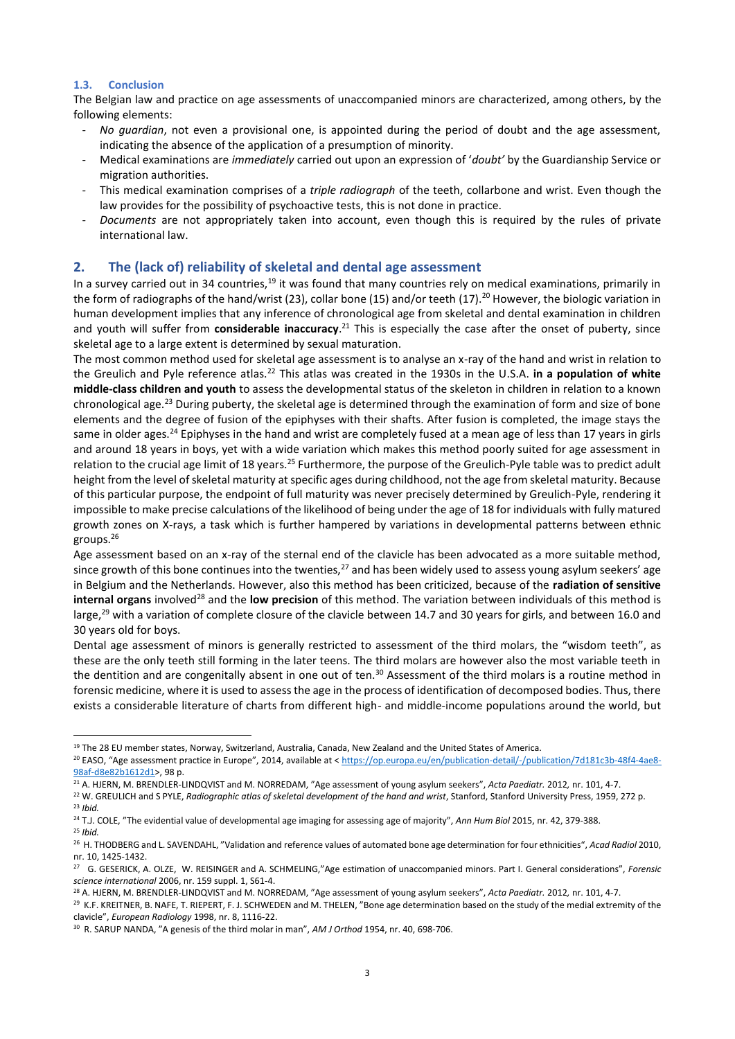## **1.3. Conclusion**

The Belgian law and practice on age assessments of unaccompanied minors are characterized, among others, by the following elements:

- *No guardian*, not even a provisional one, is appointed during the period of doubt and the age assessment, indicating the absence of the application of a presumption of minority.
- Medical examinations are *immediately* carried out upon an expression of '*doubt'* by the Guardianship Service or migration authorities.
- This medical examination comprises of a *triple radiograph* of the teeth, collarbone and wrist. Even though the law provides for the possibility of psychoactive tests, this is not done in practice.
- *Documents* are not appropriately taken into account, even though this is required by the rules of private international law.

# **2. The (lack of) reliability of skeletal and dental age assessment**

In a survey carried out in 34 countries,<sup>19</sup> it was found that many countries rely on medical examinations, primarily in the form of radiographs of the hand/wrist (23), collar bone (15) and/or teeth (17).<sup>20</sup> However, the biologic variation in human development implies that any inference of chronological age from skeletal and dental examination in children and youth will suffer from **considerable inaccuracy**. <sup>21</sup> This is especially the case after the onset of puberty, since skeletal age to a large extent is determined by sexual maturation.

The most common method used for skeletal age assessment is to analyse an x-ray of the hand and wrist in relation to the Greulich and Pyle reference atlas.<sup>22</sup> This atlas was created in the 1930s in the U.S.A. **in a population of white middle-class children and youth** to assess the developmental status of the skeleton in children in relation to a known chronological age.<sup>23</sup> During puberty, the skeletal age is determined through the examination of form and size of bone elements and the degree of fusion of the epiphyses with their shafts. After fusion is completed, the image stays the same in older ages.<sup>24</sup> Epiphyses in the hand and wrist are completely fused at a mean age of less than 17 years in girls and around 18 years in boys, yet with a wide variation which makes this method poorly suited for age assessment in relation to the crucial age limit of 18 years.<sup>25</sup> Furthermore, the purpose of the Greulich-Pyle table was to predict adult height from the level of skeletal maturity at specific ages during childhood, not the age from skeletal maturity. Because of this particular purpose, the endpoint of full maturity was never precisely determined by Greulich-Pyle, rendering it impossible to make precise calculations of the likelihood of being under the age of 18 for individuals with fully matured growth zones on X-rays, a task which is further hampered by variations in developmental patterns between ethnic groups. 26

Age assessment based on an x-ray of the sternal end of the clavicle has been advocated as a more suitable method, since growth of this bone continues into the twenties, $^{27}$  and has been widely used to assess young asylum seekers' age in Belgium and the Netherlands. However, also this method has been criticized, because of the **radiation of sensitive internal organs** involved<sup>28</sup> and the **low precision** of this method. The variation between individuals of this method is large,<sup>29</sup> with a variation of complete closure of the clavicle between 14.7 and 30 years for girls, and between 16.0 and 30 years old for boys.

Dental age assessment of minors is generally restricted to assessment of the third molars, the "wisdom teeth", as these are the only teeth still forming in the later teens. The third molars are however also the most variable teeth in the dentition and are congenitally absent in one out of ten.<sup>30</sup> Assessment of the third molars is a routine method in forensic medicine, where it is used to assess the age in the process of identification of decomposed bodies. Thus, there exists a considerable literature of charts from different high- and middle-income populations around the world, but

 $\overline{a}$ <sup>19</sup> The 28 EU member states, Norway, Switzerland, Australia, Canada, New Zealand and the United States of America.

<sup>&</sup>lt;sup>20</sup> EASO, "Age assessment practice in Europe", 2014, available at < [https://op.europa.eu/en/publication-detail/-/publication/7d181c3b-48f4-4ae8-](https://op.europa.eu/en/publication-detail/-/publication/7d181c3b-48f4-4ae8-98af-d8e82b1612d1) [98af-d8e82b1612d1>](https://op.europa.eu/en/publication-detail/-/publication/7d181c3b-48f4-4ae8-98af-d8e82b1612d1), 98 p.

<sup>21</sup> A. HJERN, M. BRENDLER-LINDQVIST and M. NORREDAM, "Age assessment of young asylum seekers", *Acta Paediatr.* 2012*,* nr. 101, 4-7.

<sup>&</sup>lt;sup>22</sup> W. GREULICH and S PYLE, *Radiographic atlas of skeletal development of the hand and wrist*, Stanford, Stanford University Press, 1959, 272 p. <sup>23</sup> *Ibid.*

<sup>24</sup> T.J. COLE, "The evidential value of developmental age imaging for assessing age of majority", *Ann Hum Biol* 2015, nr. 42, 379-388.

<sup>25</sup> *Ibid.*

<sup>26</sup> H. THODBERG and L. SAVENDAHL, "Validation and reference values of automated bone age determination for four ethnicities", *Acad Radiol* 2010, nr. 10, 1425-1432.

<sup>27</sup> G. GESERICK, A. OLZE, W. REISINGER and A. SCHMELING,"Age estimation of unaccompanied minors. Part I. General considerations", *Forensic science international* 2006, nr. 159 suppl. 1, S61-4.

<sup>28</sup> A. HJERN, M. BRENDLER-LINDQVIST and M. NORREDAM, "Age assessment of young asylum seekers", *Acta Paediatr.* 2012*,* nr. 101, 4-7.

<sup>29</sup> K.F. KREITNER, B. NAFE, T. RIEPERT, F. J. SCHWEDEN and M. THELEN, "Bone age determination based on the study of the medial extremity of the clavicle", *European Radiology* 1998, nr. 8, 1116-22.

<sup>30</sup> R. SARUP NANDA, "A genesis of the third molar in man", *AM J Orthod* 1954, nr. 40, 698-706.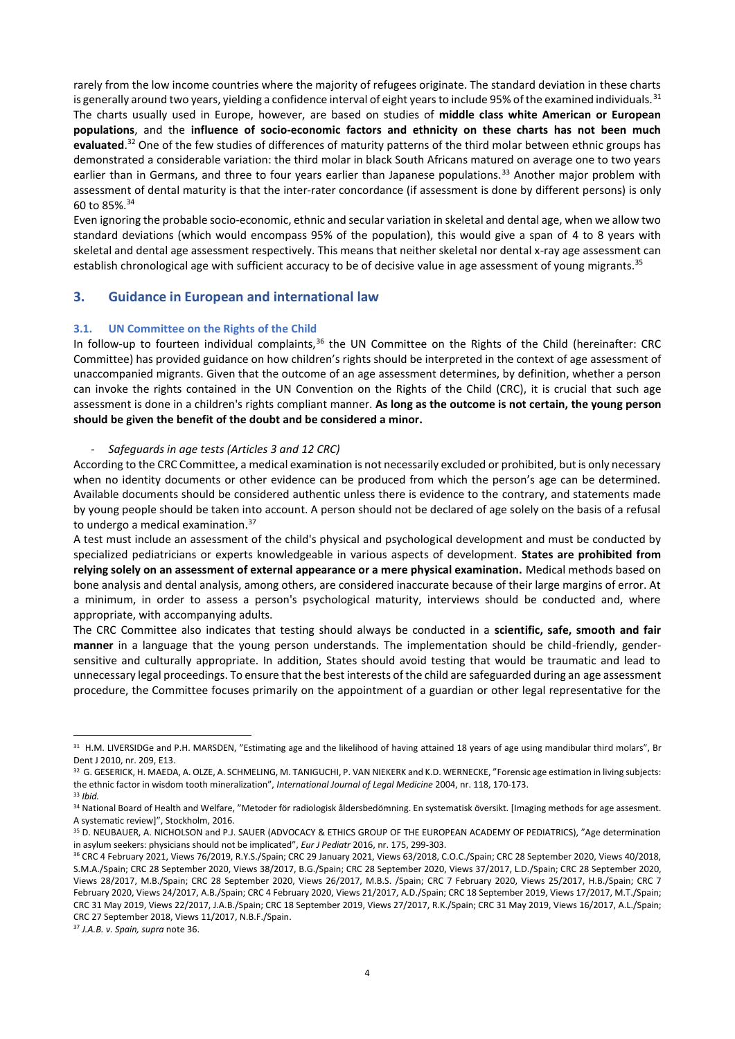rarely from the low income countries where the majority of refugees originate. The standard deviation in these charts is generally around two years, yielding a confidence interval of eight years to include 95% of the examined individuals.  $31$ The charts usually used in Europe, however, are based on studies of **middle class white American or European populations**, and the **influence of socio-economic factors and ethnicity on these charts has not been much evaluated**. <sup>32</sup> One of the few studies of differences of maturity patterns of the third molar between ethnic groups has demonstrated a considerable variation: the third molar in black South Africans matured on average one to two years earlier than in Germans, and three to four years earlier than Japanese populations.<sup>33</sup> Another major problem with assessment of dental maturity is that the inter-rater concordance (if assessment is done by different persons) is only 60 to 85%.<sup>34</sup>

Even ignoring the probable socio-economic, ethnic and secular variation in skeletal and dental age, when we allow two standard deviations (which would encompass 95% of the population), this would give a span of 4 to 8 years with skeletal and dental age assessment respectively. This means that neither skeletal nor dental x-ray age assessment can establish chronological age with sufficient accuracy to be of decisive value in age assessment of young migrants.<sup>35</sup>

# **3. Guidance in European and international law**

### **3.1. UN Committee on the Rights of the Child**

In follow-up to fourteen individual complaints,<sup>36</sup> the UN Committee on the Rights of the Child (hereinafter: CRC Committee) has provided guidance on how children's rights should be interpreted in the context of age assessment of unaccompanied migrants. Given that the outcome of an age assessment determines, by definition, whether a person can invoke the rights contained in the UN Convention on the Rights of the Child (CRC), it is crucial that such age assessment is done in a children's rights compliant manner. **As long as the outcome is not certain, the young person should be given the benefit of the doubt and be considered a minor.**

## - *Safeguards in age tests (Articles 3 and 12 CRC)*

According to the CRC Committee, a medical examination is not necessarily excluded or prohibited, but is only necessary when no identity documents or other evidence can be produced from which the person's age can be determined. Available documents should be considered authentic unless there is evidence to the contrary, and statements made by young people should be taken into account. A person should not be declared of age solely on the basis of a refusal to undergo a medical examination.<sup>37</sup>

A test must include an assessment of the child's physical and psychological development and must be conducted by specialized pediatricians or experts knowledgeable in various aspects of development. **States are prohibited from relying solely on an assessment of external appearance or a mere physical examination.** Medical methods based on bone analysis and dental analysis, among others, are considered inaccurate because of their large margins of error. At a minimum, in order to assess a person's psychological maturity, interviews should be conducted and, where appropriate, with accompanying adults.

The CRC Committee also indicates that testing should always be conducted in a **scientific, safe, smooth and fair manner** in a language that the young person understands. The implementation should be child-friendly, gendersensitive and culturally appropriate. In addition, States should avoid testing that would be traumatic and lead to unnecessary legal proceedings. To ensure that the best interests of the child are safeguarded during an age assessment procedure, the Committee focuses primarily on the appointment of a guardian or other legal representative for the

<sup>37</sup> *J.A.B. v. Spain, supra* note 36.

 $\overline{a}$ <sup>31</sup> H.M. LIVERSIDGe and P.H. MARSDEN, "Estimating age and the likelihood of having attained 18 years of age using mandibular third molars", Br Dent J 2010, nr. 209, E13.

<sup>&</sup>lt;sup>32</sup> G. GESERICK, H. MAEDA, A. OLZE, A. SCHMELING, M. TANIGUCHI, P. VAN NIEKERK and K.D. WERNECKE, "Forensic age estimation in living subjects: the ethnic factor in wisdom tooth mineralization", *International Journal of Legal Medicine* 2004, nr. 118, 170-173.

<sup>33</sup> *Ibid.*

<sup>34</sup> National Board of Health and Welfare, "Metoder för radiologisk åldersbedömning. En systematisk översikt. [Imaging methods for age assesment. A systematic review]", Stockholm, 2016.

<sup>35</sup> D. NEUBAUER, A. NICHOLSON and P.J. SAUER (ADVOCACY & ETHICS GROUP OF THE EUROPEAN ACADEMY OF PEDIATRICS), "Age determination in asylum seekers: physicians should not be implicated", *Eur J Pediatr* 2016, nr. 175, 299-303.

<sup>36</sup> CRC 4 February 2021, Views 76/2019, R.Y.S./Spain; CRC 29 January 2021, Views 63/2018, C.O.C./Spain; CRC 28 September 2020, Views 40/2018, S.M.A./Spain; CRC 28 September 2020, Views 38/2017, B.G./Spain; CRC 28 September 2020, Views 37/2017, L.D./Spain; CRC 28 September 2020, Views 28/2017, M.B./Spain; CRC 28 September 2020, Views 26/2017, M.B.S. /Spain; CRC 7 February 2020, Views 25/2017, H.B./Spain; CRC 7 February 2020, Views 24/2017, A.B./Spain; CRC 4 February 2020, Views 21/2017, A.D./Spain; CRC 18 September 2019, Views 17/2017, M.T./Spain; CRC 31 May 2019, Views 22/2017, J.A.B./Spain; CRC 18 September 2019, Views 27/2017, R.K./Spain; CRC 31 May 2019, Views 16/2017, A.L./Spain; CRC 27 September 2018, Views 11/2017, N.B.F./Spain.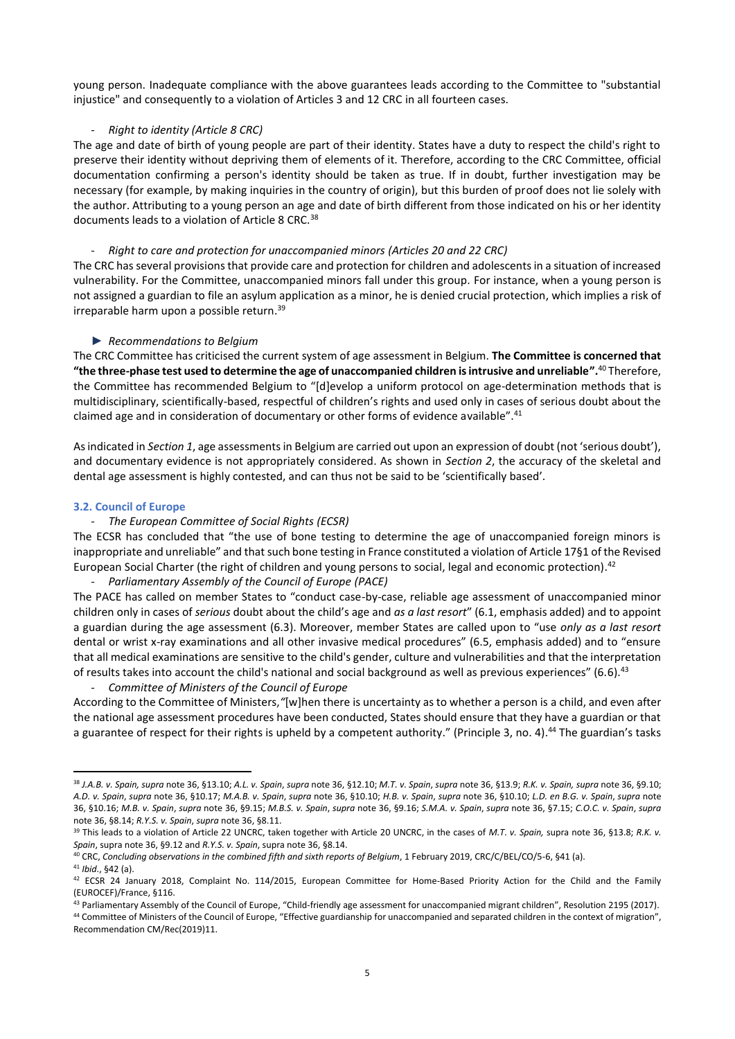young person. Inadequate compliance with the above guarantees leads according to the Committee to "substantial injustice" and consequently to a violation of Articles 3 and 12 CRC in all fourteen cases.

## - *Right to identity (Article 8 CRC)*

The age and date of birth of young people are part of their identity. States have a duty to respect the child's right to preserve their identity without depriving them of elements of it. Therefore, according to the CRC Committee, official documentation confirming a person's identity should be taken as true. If in doubt, further investigation may be necessary (for example, by making inquiries in the country of origin), but this burden of proof does not lie solely with the author. Attributing to a young person an age and date of birth different from those indicated on his or her identity documents leads to a violation of Article 8 CRC.<sup>38</sup>

## - *Right to care and protection for unaccompanied minors (Articles 20 and 22 CRC)*

The CRC has several provisions that provide care and protection for children and adolescents in a situation of increased vulnerability. For the Committee, unaccompanied minors fall under this group. For instance, when a young person is not assigned a guardian to file an asylum application as a minor, he is denied crucial protection, which implies a risk of irreparable harm upon a possible return. 39

## ► *Recommendations to Belgium*

The CRC Committee has criticised the current system of age assessment in Belgium. **The Committee is concerned that "the three-phase test used to determine the age of unaccompanied children is intrusive and unreliable".**<sup>40</sup> Therefore, the Committee has recommended Belgium to "[d]evelop a uniform protocol on age-determination methods that is multidisciplinary, scientifically-based, respectful of children's rights and used only in cases of serious doubt about the claimed age and in consideration of documentary or other forms of evidence available".<sup>41</sup>

As indicated in *Section 1*, age assessments in Belgium are carried out upon an expression of doubt (not 'serious doubt'), and documentary evidence is not appropriately considered. As shown in *Section 2*, the accuracy of the skeletal and dental age assessment is highly contested, and can thus not be said to be 'scientifically based'.

### **3.2. Council of Europe**

### - *The European Committee of Social Rights (ECSR)*

The ECSR has concluded that "the use of bone testing to determine the age of unaccompanied foreign minors is inappropriate and unreliable" and that such bone testing in France constituted a violation of Article 17§1 of the Revised European Social Charter (the right of children and young persons to social, legal and economic protection). 42

## - *Parliamentary Assembly of the Council of Europe (PACE)*

The PACE has called on member States to "conduct case-by-case, reliable age assessment of unaccompanied minor children only in cases of *serious* doubt about the child's age and *as a last resort*" (6.1, emphasis added) and to appoint a guardian during the age assessment (6.3). Moreover, member States are called upon to "use *only as a last resort* dental or wrist x-ray examinations and all other invasive medical procedures" (6.5, emphasis added) and to "ensure that all medical examinations are sensitive to the child's gender, culture and vulnerabilities and that the interpretation of results takes into account the child's national and social background as well as previous experiences" (6.6).<sup>43</sup>

- *Committee of Ministers of the Council of Europe*

According to the Committee of Ministers,*"*[w]hen there is uncertainty as to whether a person is a child, and even after the national age assessment procedures have been conducted, States should ensure that they have a guardian or that a guarantee of respect for their rights is upheld by a competent authority." (Principle 3, no. 4).<sup>44</sup> The guardian's tasks

<sup>38</sup> *J.A.B. v. Spain, supra* note 36, §13.10; *A.L. v. Spain*, *supra* note 36, §12.10; *M.T. v. Spain*, *supra* note 36, §13.9; *R.K. v. Spain, supra* note 36, §9.10; *A.D. v. Spain*, *supra* note 36, §10.17; *M.A.B. v. Spain*, *supra* note 36, §10.10; *H.B. v. Spain*, *supra* note 36, §10.10; *L.D. en B.G. v. Spain*, *supra* note 36, §10.16; *M.B. v. Spain*, *supra* note 36, §9.15; *M.B.S. v. Spain*, *supra* note 36, §9.16; *S.M.A. v. Spain*, *supra* note 36, §7.15; *C.O.C. v. Spain*, *supra* note 36, §8.14; *R.Y.S. v. Spain*, *supra* note 36, §8.11.

<sup>39</sup> This leads to a violation of Article 22 UNCRC, taken together with Article 20 UNCRC, in the cases of *M.T. v. Spain,* supra note 36, §13.8; *R.K. v. Spain*, supra note 36, §9.12 and *R.Y.S. v. Spain*, supra note 36, §8.14.

<sup>40</sup> CRC, *Concluding observations in the combined fifth and sixth reports of Belgium*, 1 February 2019, CRC/C/BEL/CO/5-6, §41 (a).

<sup>41</sup> *Ibid*., §42 (a).

<sup>42</sup> ECSR 24 January 2018, Complaint No. 114/2015, European Committee for Home-Based Priority Action for the Child and the Family (EUROCEF)/France, §116.

<sup>43</sup> Parliamentary Assembly of the Council of Europe, "Child-friendly age assessment for unaccompanied migrant children", Resolution 2195 (2017).

<sup>&</sup>lt;sup>44</sup> Committee of Ministers of the Council of Europe, "Effective guardianship for unaccompanied and separated children in the context of migration", Recommendation CM/Rec(2019)11.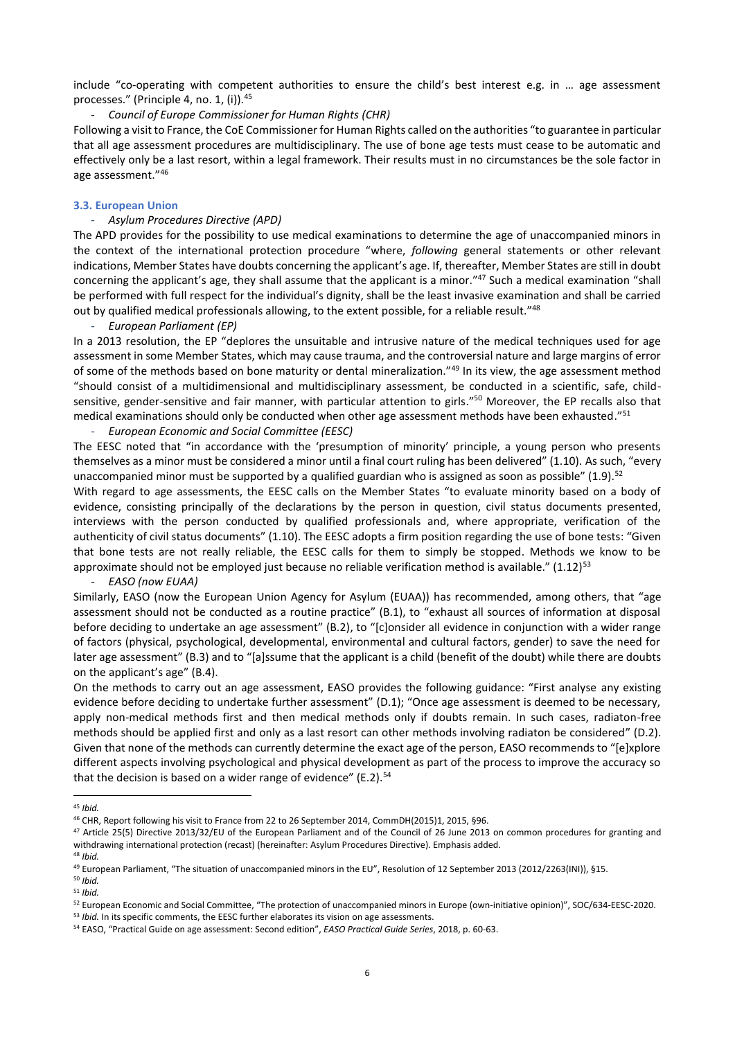include "co-operating with competent authorities to ensure the child's best interest e.g. in … age assessment processes." (Principle 4, no. 1, (i)).<sup>45</sup>

## - *Council of Europe Commissioner for Human Rights (CHR)*

Following a visit to France, the CoE Commissioner for Human Rights called on the authorities "to guarantee in particular that all age assessment procedures are multidisciplinary. The use of bone age tests must cease to be automatic and effectively only be a last resort, within a legal framework. Their results must in no circumstances be the sole factor in age assessment."<sup>46</sup>

#### **3.3. European Union**

## - *Asylum Procedures Directive (APD)*

The APD provides for the possibility to use medical examinations to determine the age of unaccompanied minors in the context of the international protection procedure "where, *following* general statements or other relevant indications, Member States have doubts concerning the applicant's age. If, thereafter, Member States are still in doubt concerning the applicant's age, they shall assume that the applicant is a minor."<sup>47</sup> Such a medical examination "shall be performed with full respect for the individual's dignity, shall be the least invasive examination and shall be carried out by qualified medical professionals allowing, to the extent possible, for a reliable result."<sup>48</sup>

#### - *European Parliament (EP)*

In a 2013 resolution, the EP "deplores the unsuitable and intrusive nature of the medical techniques used for age assessment in some Member States, which may cause trauma, and the controversial nature and large margins of error of some of the methods based on bone maturity or dental mineralization."<sup>49</sup> In its view, the age assessment method "should consist of a multidimensional and multidisciplinary assessment, be conducted in a scientific, safe, childsensitive, gender-sensitive and fair manner, with particular attention to girls."<sup>50</sup> Moreover, the EP recalls also that medical examinations should only be conducted when other age assessment methods have been exhausted."<sup>51</sup>

#### - *European Economic and Social Committee (EESC)*

The EESC noted that "in accordance with the 'presumption of minority' principle, a young person who presents themselves as a minor must be considered a minor until a final court ruling has been delivered" (1.10). As such, "every unaccompanied minor must be supported by a qualified guardian who is assigned as soon as possible"  $(1.9)$ .<sup>52</sup>

With regard to age assessments, the EESC calls on the Member States "to evaluate minority based on a body of evidence, consisting principally of the declarations by the person in question, civil status documents presented, interviews with the person conducted by qualified professionals and, where appropriate, verification of the authenticity of civil status documents" (1.10). The EESC adopts a firm position regarding the use of bone tests: "Given that bone tests are not really reliable, the EESC calls for them to simply be stopped. Methods we know to be approximate should not be employed just because no reliable verification method is available." (1.12)<sup>53</sup>

#### - *EASO (now EUAA)*

Similarly, EASO (now the European Union Agency for Asylum (EUAA)) has recommended, among others, that "age assessment should not be conducted as a routine practice" (B.1), to "exhaust all sources of information at disposal before deciding to undertake an age assessment" (B.2), to "[c]onsider all evidence in conjunction with a wider range of factors (physical, psychological, developmental, environmental and cultural factors, gender) to save the need for later age assessment" (B.3) and to "[a]ssume that the applicant is a child (benefit of the doubt) while there are doubts on the applicant's age" (B.4).

On the methods to carry out an age assessment, EASO provides the following guidance: "First analyse any existing evidence before deciding to undertake further assessment" (D.1); "Once age assessment is deemed to be necessary, apply non-medical methods first and then medical methods only if doubts remain. In such cases, radiaton-free methods should be applied first and only as a last resort can other methods involving radiaton be considered" (D.2). Given that none of the methods can currently determine the exact age of the person, EASO recommends to "[e]xplore different aspects involving psychological and physical development as part of the process to improve the accuracy so that the decision is based on a wider range of evidence"  $(E.2).<sup>54</sup>$ 

 $\ddot{\phantom{a}}$ 

<sup>45</sup> *Ibid.*

<sup>46</sup> CHR, Report following his visit to France from 22 to 26 September 2014, CommDH(2015)1, 2015, §96.

<sup>47</sup> Article 25(5) Directive 2013/32/EU of the European Parliament and of the Council of 26 June 2013 on common procedures for granting and withdrawing international protection (recast) (hereinafter: Asylum Procedures Directive). Emphasis added.

<sup>48</sup> *Ibid.*

<sup>49</sup> European Parliament, "The situation of unaccompanied minors in the EU", Resolution of 12 September 2013 (2012/2263(INI)), §15.

<sup>50</sup> *Ibid.* <sup>51</sup> *Ibid.*

<sup>52</sup> European Economic and Social Committee, "The protection of unaccompanied minors in Europe (own-initiative opinion)", SOC/634-EESC-2020.

<sup>53</sup> *Ibid.* In its specific comments, the EESC further elaborates its vision on age assessments.

<sup>54</sup> EASO, "Practical Guide on age assessment: Second edition", *EASO Practical Guide Series*, 2018, p. 60-63.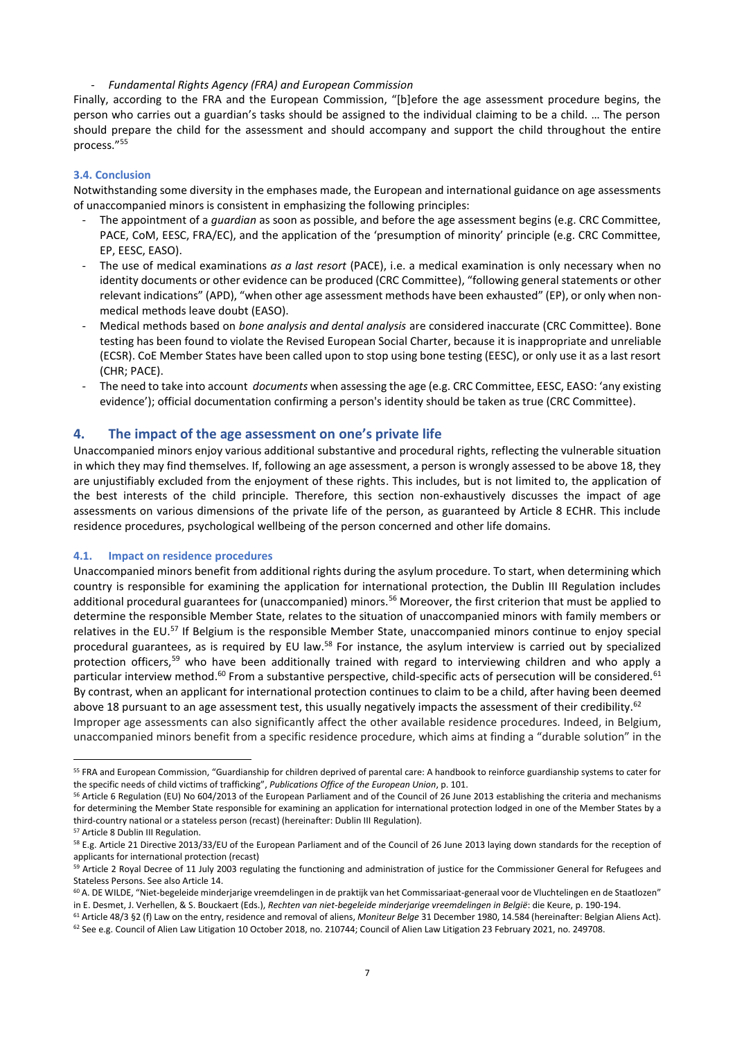## - *Fundamental Rights Agency (FRA) and European Commission*

Finally, according to the FRA and the European Commission, "[b]efore the age assessment procedure begins, the person who carries out a guardian's tasks should be assigned to the individual claiming to be a child. … The person should prepare the child for the assessment and should accompany and support the child throughout the entire process."<sup>55</sup>

## **3.4. Conclusion**

Notwithstanding some diversity in the emphases made, the European and international guidance on age assessments of unaccompanied minors is consistent in emphasizing the following principles:

- The appointment of a *guardian* as soon as possible, and before the age assessment begins (e.g. CRC Committee, PACE, CoM, EESC, FRA/EC), and the application of the 'presumption of minority' principle (e.g. CRC Committee, EP, EESC, EASO).
- The use of medical examinations *as a last resort* (PACE), i.e. a medical examination is only necessary when no identity documents or other evidence can be produced (CRC Committee), "following general statements or other relevant indications" (APD), "when other age assessment methods have been exhausted" (EP), or only when nonmedical methods leave doubt (EASO).
- Medical methods based on *bone analysis and dental analysis* are considered inaccurate (CRC Committee). Bone testing has been found to violate the Revised European Social Charter, because it is inappropriate and unreliable (ECSR). CoE Member States have been called upon to stop using bone testing (EESC), or only use it as a last resort (CHR; PACE).
- The need to take into account *documents* when assessing the age (e.g. CRC Committee, EESC, EASO: 'any existing evidence'); official documentation confirming a person's identity should be taken as true (CRC Committee).

## **4. The impact of the age assessment on one's private life**

Unaccompanied minors enjoy various additional substantive and procedural rights, reflecting the vulnerable situation in which they may find themselves. If, following an age assessment, a person is wrongly assessed to be above 18, they are unjustifiably excluded from the enjoyment of these rights. This includes, but is not limited to, the application of the best interests of the child principle. Therefore, this section non-exhaustively discusses the impact of age assessments on various dimensions of the private life of the person, as guaranteed by Article 8 ECHR. This include residence procedures, psychological wellbeing of the person concerned and other life domains.

### **4.1. Impact on residence procedures**

Unaccompanied minors benefit from additional rights during the asylum procedure. To start, when determining which country is responsible for examining the application for international protection, the Dublin III Regulation includes additional procedural guarantees for (unaccompanied) minors.<sup>56</sup> Moreover, the first criterion that must be applied to determine the responsible Member State, relates to the situation of unaccompanied minors with family members or relatives in the EU.<sup>57</sup> If Belgium is the responsible Member State, unaccompanied minors continue to enjoy special procedural guarantees, as is required by EU law.<sup>58</sup> For instance, the asylum interview is carried out by specialized protection officers,<sup>59</sup> who have been additionally trained with regard to interviewing children and who apply a particular interview method.<sup>60</sup> From a substantive perspective, child-specific acts of persecution will be considered.<sup>61</sup> By contrast, when an applicant for international protection continues to claim to be a child, after having been deemed above 18 pursuant to an age assessment test, this usually negatively impacts the assessment of their credibility.<sup>62</sup>

Improper age assessments can also significantly affect the other available residence procedures. Indeed, in Belgium, unaccompanied minors benefit from a specific residence procedure, which aims at finding a "durable solution" in the

<sup>55</sup> FRA and European Commission, "Guardianship for children deprived of parental care: A handbook to reinforce guardianship systems to cater for the specific needs of child victims of trafficking", *Publications Office of the European Union*, p. 101.

<sup>&</sup>lt;sup>56</sup> Article 6 Regulation (EU) No 604/2013 of the European Parliament and of the Council of 26 June 2013 establishing the criteria and mechanisms for determining the Member State responsible for examining an application for international protection lodged in one of the Member States by a third-country national or a stateless person (recast) (hereinafter: Dublin III Regulation).

<sup>57</sup> Article 8 Dublin III Regulation.

<sup>&</sup>lt;sup>58</sup> E.g. Article 21 Directive 2013/33/EU of the European Parliament and of the Council of 26 June 2013 laying down standards for the reception of applicants for international protection (recast)

<sup>&</sup>lt;sup>59</sup> Article 2 Royal Decree of 11 July 2003 regulating the functioning and administration of justice for the Commissioner General for Refugees and Stateless Persons. See also Article 14.

<sup>60</sup> A. DE WILDE, "Niet-begeleide minderjarige vreemdelingen in de praktijk van het Commissariaat-generaal voor de Vluchtelingen en de Staatlozen" in E. Desmet, J. Verhellen, & S. Bouckaert (Eds.), *Rechten van niet-begeleide minderjarige vreemdelingen in België*: die Keure, p. 190-194.

<sup>61</sup> Article 48/3 §2 (f) Law on the entry, residence and removal of aliens, *Moniteur Belge* 31 December 1980, 14.584 (hereinafter: Belgian Aliens Act).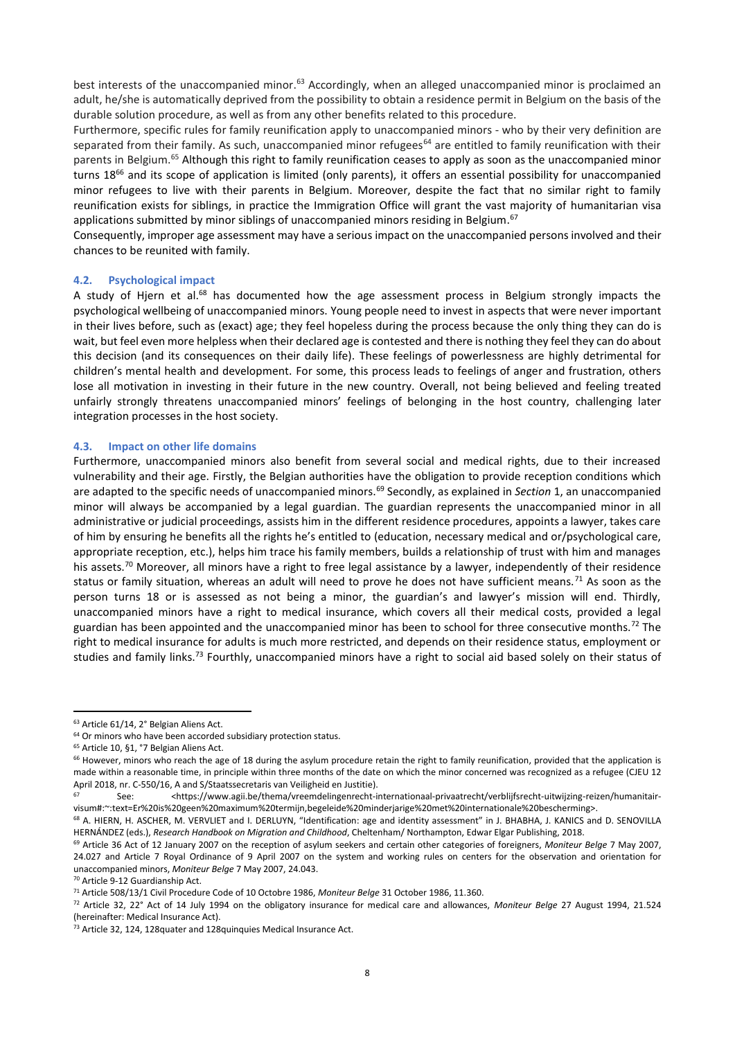best interests of the unaccompanied minor.<sup>63</sup> Accordingly, when an alleged unaccompanied minor is proclaimed an adult, he/she is automatically deprived from the possibility to obtain a residence permit in Belgium on the basis of the durable solution procedure, as well as from any other benefits related to this procedure.

Furthermore, specific rules for family reunification apply to unaccompanied minors - who by their very definition are separated from their family. As such, unaccompanied minor refugees<sup>64</sup> are entitled to family reunification with their parents in Belgium.<sup>65</sup> Although this right to family reunification ceases to apply as soon as the unaccompanied minor turns 18<sup>66</sup> and its scope of application is limited (only parents), it offers an essential possibility for unaccompanied minor refugees to live with their parents in Belgium. Moreover, despite the fact that no similar right to family reunification exists for siblings, in practice the Immigration Office will grant the vast majority of humanitarian visa applications submitted by minor siblings of unaccompanied minors residing in Belgium.<sup>67</sup>

Consequently, improper age assessment may have a serious impact on the unaccompanied persons involved and their chances to be reunited with family.

## **4.2. Psychological impact**

A study of Hjern et al.<sup>68</sup> has documented how the age assessment process in Belgium strongly impacts the psychological wellbeing of unaccompanied minors. Young people need to invest in aspects that were never important in their lives before, such as (exact) age; they feel hopeless during the process because the only thing they can do is wait, but feel even more helpless when their declared age is contested and there is nothing they feel they can do about this decision (and its consequences on their daily life). These feelings of powerlessness are highly detrimental for children's mental health and development. For some, this process leads to feelings of anger and frustration, others lose all motivation in investing in their future in the new country. Overall, not being believed and feeling treated unfairly strongly threatens unaccompanied minors' feelings of belonging in the host country, challenging later integration processes in the host society.

### **4.3. Impact on other life domains**

Furthermore, unaccompanied minors also benefit from several social and medical rights, due to their increased vulnerability and their age. Firstly, the Belgian authorities have the obligation to provide reception conditions which are adapted to the specific needs of unaccompanied minors.<sup>69</sup> Secondly, as explained in *Section* 1, an unaccompanied minor will always be accompanied by a legal guardian. The guardian represents the unaccompanied minor in all administrative or judicial proceedings, assists him in the different residence procedures, appoints a lawyer, takes care of him by ensuring he benefits all the rights he's entitled to (education, necessary medical and or/psychological care, appropriate reception, etc.), helps him trace his family members, builds a relationship of trust with him and manages his assets.<sup>70</sup> Moreover, all minors have a right to free legal assistance by a lawyer, independently of their residence status or family situation, whereas an adult will need to prove he does not have sufficient means.<sup>71</sup> As soon as the person turns 18 or is assessed as not being a minor, the guardian's and lawyer's mission will end. Thirdly, unaccompanied minors have a right to medical insurance, which covers all their medical costs, provided a legal guardian has been appointed and the unaccompanied minor has been to school for three consecutive months.<sup>72</sup> The right to medical insurance for adults is much more restricted, and depends on their residence status, employment or studies and family links.<sup>73</sup> Fourthly, unaccompanied minors have a right to social aid based solely on their status of

<sup>63</sup> Article 61/14, 2° Belgian Aliens Act.

<sup>&</sup>lt;sup>64</sup> Or minors who have been accorded subsidiary protection status.

<sup>65</sup> Article 10, §1, °7 Belgian Aliens Act.

<sup>66</sup> However, minors who reach the age of 18 during the asylum procedure retain the right to family reunification, provided that the application is made within a reasonable time, in principle within three months of the date on which the minor concerned was recognized as a refugee (CJEU 12 April 2018, nr. C-550/16, A and S/Staatssecretaris van Veiligheid en Justitie).

<sup>67</sup> See: <https://www.agii.be/thema/vreemdelingenrecht-internationaal-privaatrecht/verblijfsrecht-uitwijzing-reizen/humanitairvisum#:~:text=Er%20is%20geen%20maximum%20termijn,begeleide%20minderjarige%20met%20internationale%20bescherming>.

<sup>68</sup> A. HIERN, H. ASCHER, M. VERVLIET and I. DERLUYN, "Identification: age and identity assessment" in J. BHABHA, J. KANICS and D. SENOVILLA HERNÁNDEZ (eds.), *Research Handbook on Migration and Childhood*, Cheltenham/ Northampton, Edwar Elgar Publishing, 2018.

<sup>69</sup> Article 36 Act of 12 January 2007 on the reception of asylum seekers and certain other categories of foreigners, *Moniteur Belge* 7 May 2007, 24.027 and Article 7 Royal Ordinance of 9 April 2007 on the system and working rules on centers for the observation and orientation for unaccompanied minors, *Moniteur Belge* 7 May 2007, 24.043.

<sup>70</sup> Article 9-12 Guardianship Act.

<sup>71</sup> Article 508/13/1 Civil Procedure Code of 10 Octobre 1986, *Moniteur Belge* 31 October 1986, 11.360.

<sup>72</sup> Article 32, 22° Act of 14 July 1994 on the obligatory insurance for medical care and allowances, *Moniteur Belge* 27 August 1994, 21.524 (hereinafter: Medical Insurance Act).

<sup>&</sup>lt;sup>73</sup> Article 32, 124, 128 quater and 128 quinquies Medical Insurance Act.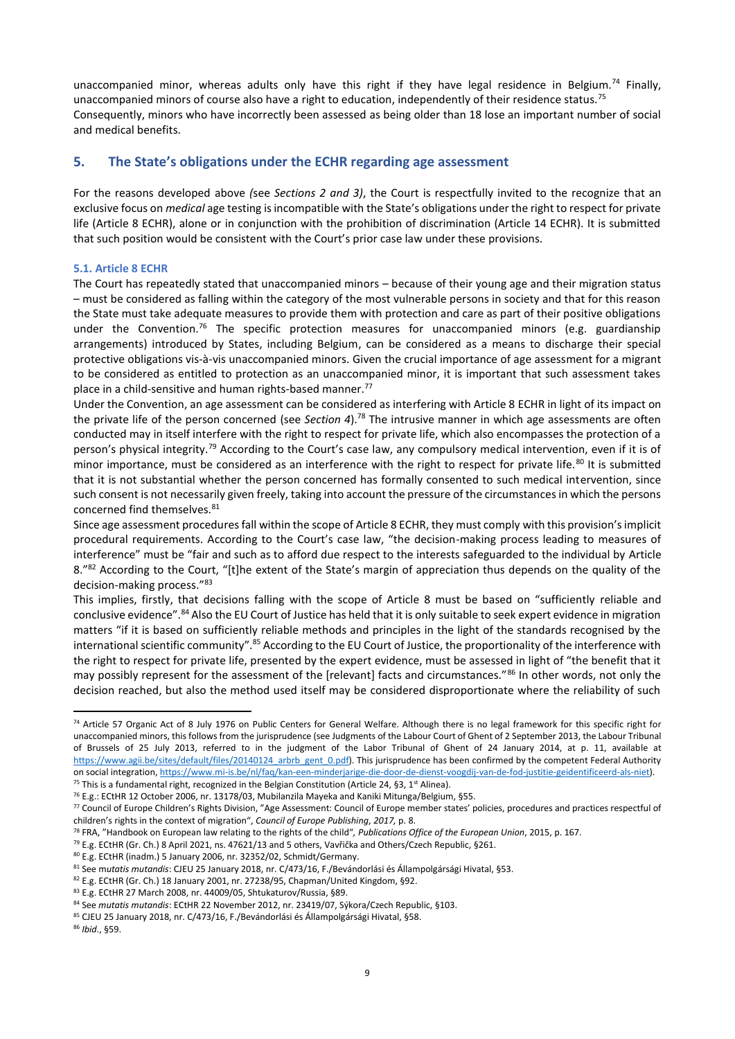unaccompanied minor, whereas adults only have this right if they have legal residence in Belgium.<sup>74</sup> Finally, unaccompanied minors of course also have a right to education, independently of their residence status.<sup>75</sup> Consequently, minors who have incorrectly been assessed as being older than 18 lose an important number of social and medical benefits.

# **5. The State's obligations under the ECHR regarding age assessment**

For the reasons developed above *(*see *Sections 2 and 3)*, the Court is respectfully invited to the recognize that an exclusive focus on *medical* age testing is incompatible with the State's obligations under the right to respect for private life (Article 8 ECHR), alone or in conjunction with the prohibition of discrimination (Article 14 ECHR). It is submitted that such position would be consistent with the Court's prior case law under these provisions.

## **5.1. Article 8 ECHR**

The Court has repeatedly stated that unaccompanied minors – because of their young age and their migration status – must be considered as falling within the category of the most vulnerable persons in society and that for this reason the State must take adequate measures to provide them with protection and care as part of their positive obligations under the Convention.<sup>76</sup> The specific protection measures for unaccompanied minors (e.g. guardianship arrangements) introduced by States, including Belgium, can be considered as a means to discharge their special protective obligations vis-à-vis unaccompanied minors. Given the crucial importance of age assessment for a migrant to be considered as entitled to protection as an unaccompanied minor, it is important that such assessment takes place in a child-sensitive and human rights-based manner.<sup>77</sup>

Under the Convention, an age assessment can be considered as interfering with Article 8 ECHR in light of its impact on the private life of the person concerned (see Section 4).<sup>78</sup> The intrusive manner in which age assessments are often conducted may in itself interfere with the right to respect for private life, which also encompasses the protection of a person's physical integrity.<sup>79</sup> According to the Court's case law, any compulsory medical intervention, even if it is of minor importance, must be considered as an interference with the right to respect for private life.<sup>80</sup> It is submitted that it is not substantial whether the person concerned has formally consented to such medical intervention, since such consent is not necessarily given freely, taking into account the pressure of the circumstances in which the persons concerned find themselves. 81

Since age assessment procedures fall within the scope of Article 8 ECHR, they must comply with this provision's implicit procedural requirements. According to the Court's case law, "the decision-making process leading to measures of interference" must be "fair and such as to afford due respect to the interests safeguarded to the individual by Article 8."<sup>82</sup> According to the Court, "[t]he extent of the State's margin of appreciation thus depends on the quality of the decision-making process."<sup>83</sup>

This implies, firstly, that decisions falling with the scope of Article 8 must be based on "sufficiently reliable and conclusive evidence".<sup>84</sup> Also the EU Court of Justice has held that it is only suitable to seek expert evidence in migration matters "if it is based on sufficiently reliable methods and principles in the light of the standards recognised by the international scientific community".<sup>85</sup> According to the EU Court of Justice, the proportionality of the interference with the right to respect for private life, presented by the expert evidence, must be assessed in light of "the benefit that it may possibly represent for the assessment of the [relevant] facts and circumstances."<sup>86</sup> In other words, not only the decision reached, but also the method used itself may be considered disproportionate where the reliability of such

<sup>74</sup> Article 57 Organic Act of 8 July 1976 on Public Centers for General Welfare. Although there is no legal framework for this specific right for unaccompanied minors, this follows from the jurisprudence (see Judgments of the Labour Court of Ghent of 2 September 2013, the Labour Tribunal of Brussels of 25 July 2013, referred to in the judgment of the Labor Tribunal of Ghent of 24 January 2014, at p. 11, available at [https://www.agii.be/sites/default/files/20140124\\_arbrb\\_gent\\_0.pdf\)](https://www.agii.be/sites/default/files/20140124_arbrb_gent_0.pdf). This jurisprudence has been confirmed by the competent Federal Authority on social integration[, https://www.mi-is.be/nl/faq/kan-een-minderjarige-die-door-de-dienst-voogdij-van-de-fod-justitie-geidentificeerd-als-niet\).](https://www.mi-is.be/nl/faq/kan-een-minderjarige-die-door-de-dienst-voogdij-van-de-fod-justitie-geidentificeerd-als-niet)

<sup>&</sup>lt;sup>75</sup> This is a fundamental right, recognized in the Belgian Constitution (Article 24, §3, 1<sup>st</sup> Alinea).

<sup>76</sup> E.g.: ECtHR 12 October 2006, nr. 13178/03, Mubilanzila Mayeka and Kaniki Mitunga/Belgium, §55.

<sup>77</sup> Council of Europe Children's Rights Division, "Age Assessment: Council of Europe member states' policies, procedures and practices respectful of children's rights in the context of migration", *Council of Europe Publishing*, *2017,* p. 8.

<sup>78</sup> FRA, "Handbook on European law relating to the rights of the child"*, Publications Office of the European Union*, 2015, p. 167.

<sup>&</sup>lt;sup>79</sup> E.g. ECtHR (Gr. Ch.) 8 April 2021, ns. 47621/13 and 5 others, Vavřička and Others/Czech Republic, §261.

<sup>80</sup> E.g. ECtHR (inadm.) 5 January 2006, nr. 32352/02, Schmidt/Germany.

<sup>81</sup> See m*utatis mutandis*: CJEU 25 January 2018, nr. C/473/16, F./Bevándorlási és Állampolgársági Hivatal, §53.

<sup>82</sup> E.g. ECtHR (Gr. Ch.) 18 January 2001, nr. 27238/95, Chapman/United Kingdom, §92.

<sup>83</sup> E.g. ECtHR 27 March 2008, nr. 44009/05, Shtukaturov/Russia, §89.

<sup>84</sup> See *mutatis mutandis*: ECtHR 22 November 2012, nr. 23419/07, Sýkora/Czech Republic, §103.

<sup>85</sup> CJEU 25 January 2018, nr. C/473/16, F./Bevándorlási és Állampolgársági Hivatal, §58.

<sup>86</sup> *Ibid*., §59.